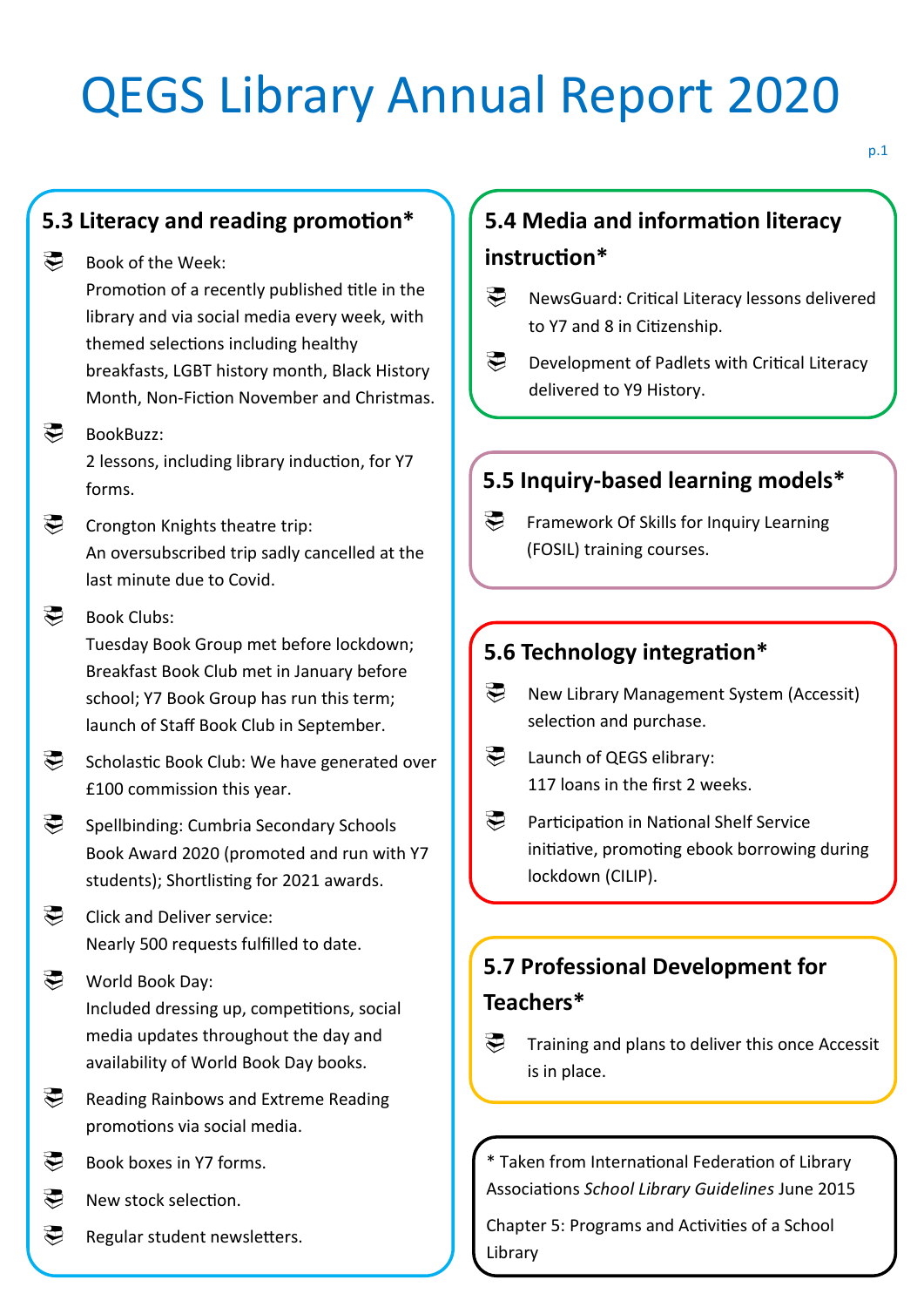# QEGS Library Annual Report 2020

## **5.3 Literacy and reading promotion\***

#### Book of the Week:

Promotion of a recently published title in the library and via social media every week, with themed selections including healthy breakfasts, LGBT history month, Black History Month, Non-Fiction November and Christmas.

#### ましい BookBuzz:

2 lessons, including library induction, for Y7 forms.

#### **E** Crongton Knights theatre trip: An oversubscribed trip sadly cancelled at the last minute due to Covid.

#### Book Clubs:

Tuesday Book Group met before lockdown; Breakfast Book Club met in January before school; Y7 Book Group has run this term; launch of Staff Book Club in September.

Scholastic Book Club: We have generated over £100 commission this year.

Spellbinding: Cumbria Secondary Schools Book Award 2020 (promoted and run with Y7 students); Shortlisting for 2021 awards.

Click and Deliver service: Nearly 500 requests fulfilled to date.

### World Book Day: Included dressing up, competitions, social media updates throughout the day and availability of World Book Day books.

- Reading Rainbows and Extreme Reading promotions via social media.
- Book boxes in Y7 forms.
- New stock selection.
- Regular student newsletters.

# **5.4 Media and information literacy instruction\***

- **E** NewsGuard: Critical Literacy lessons delivered to Y7 and 8 in Citizenship.
- **Development of Padlets with Critical Literacy** delivered to Y9 History.

## **5.5 Inquiry-based learning models\***

Framework Of Skills for Inquiry Learning (FOSIL) training courses.

## **5.6 Technology integration\***

- **B** New Library Management System (Accessit) selection and purchase.
- Launch of QEGS elibrary: 117 loans in the first 2 weeks.
- **Participation in National Shelf Service** initiative, promoting ebook borrowing during lockdown (CILIP).

# **5.7 Professional Development for Teachers\***

Training and plans to deliver this once Accessit is in place.

\* Taken from International Federation of Library Associations *School Library Guidelines* June 2015

Chapter 5: Programs and Activities of a School Library